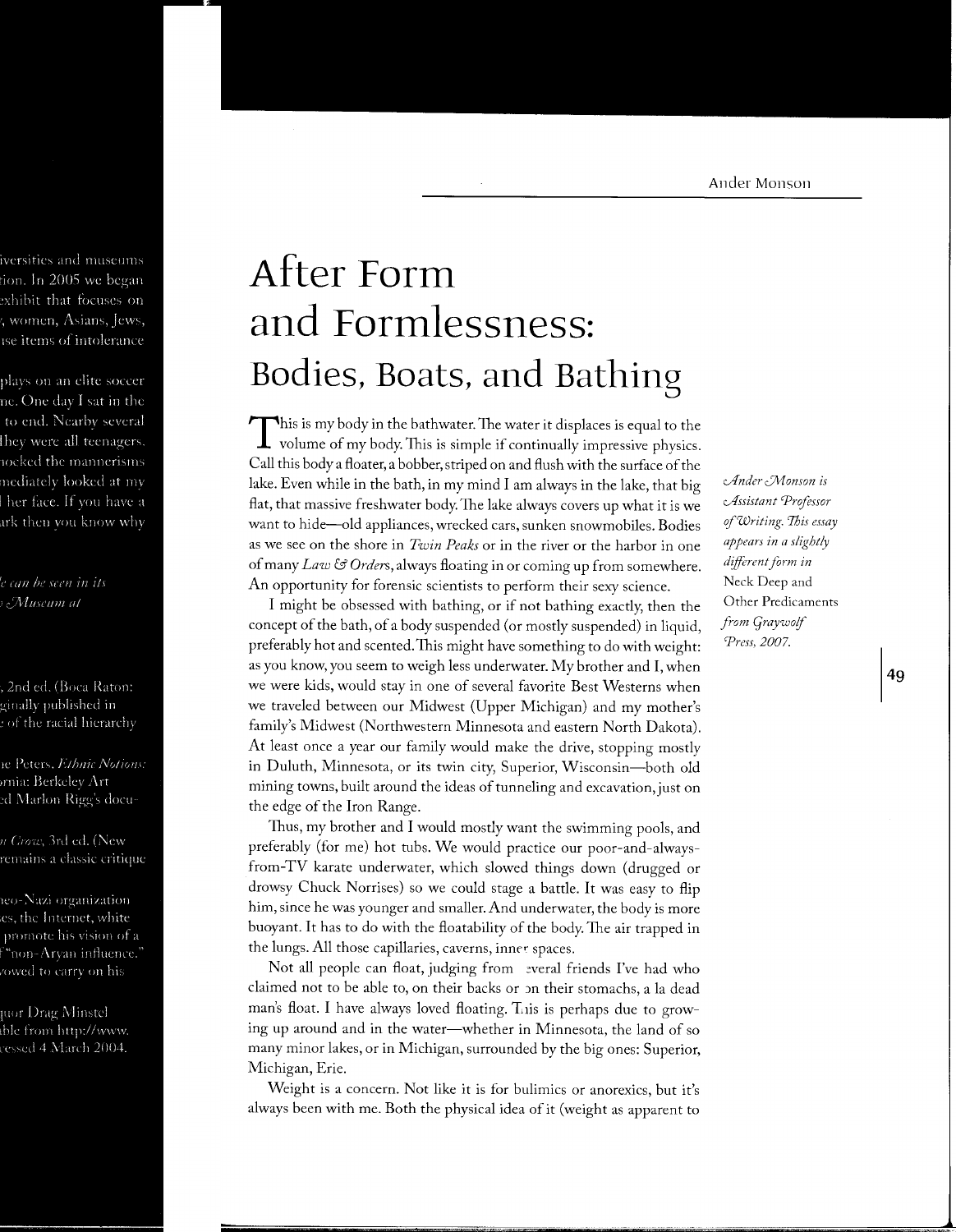# **After Form and Formlessness: Bodies, Boats, and Bathing**

This is my body in the bathwater. The water it displaces is equal to the volume of my body. This is simple if continually impressive physics. Call this body a floater, a bobber, striped on and flush with the surface of the lake. Even while in the bath, in my mind I am always in the lake, that big flat, that massive freshwater body. The lake always covers up what it is we want to hide-old appliances, wrecked cars, sunken snowmobiles. Bodies as we see on the shore in *Twin Peaks* or in the river or the harbor in one of many *Law* & *Orders,* always floating in or coming up from somewhere. An opportunity for forensic scientists to perform their sexy science.

I might be obsessed with bathing, or if not bathing exactly, then the concept of the bath, of a body suspended (or mostly suspended) in liquid, preferably hot and scented. This might have something to do with weight: as you know, you seem to weigh less underwater. My brother and I, when we were kids, would stay in one of several favorite Best Westerns when we traveled between our Midwest (Upper Michigan) and my mother's family's Midwest (Northwestern Minnesota and eastern North Dakota). At least once a year our family would make the drive, stopping mostly in Duluth, Minnesota, or its twin city, Superior, Wisconsin-both old mining towns, built around the ideas of tunneling and excavation, just on the edge of the Iron Range.

Thus, my brother and I would mostly want the swimming pools, and preferably (for me) hot tubs. We would practice our poor-and-alwaysfrom-TV karate underwater, which slowed things down (drugged or drowsy Chuck Norrises) so we could stage a battle. It was easy to flip him, since he was younger and smaller. And underwater, the body is more buoyant. It has to do with the floatability of the body. The air trapped in the lungs. All those capillaries, caverns, inner spaces.

Not all people can float, judging from everal friends I've had who claimed not to be able to, on their backs or )n their stomachs, a la dead man's float. I have always loved floating. This is perhaps due to growing up around and in the water-whether in Minnesota, the land of so many minor lakes, or in Michigan, surrounded by the big ones: Superior, Michigan, Erie.

Weight is a concern. Not like it is for bulimics or anorexics, but it's always been with me. Both the physical idea of it (weight as apparent to

*c/Inder GJ\I[onson is ufssistant 'Prifessor ofWriting. This essay appears in a slightly different form in*  Neck Deep and Other Predicaments *from qraywolf 'Press, 2007.*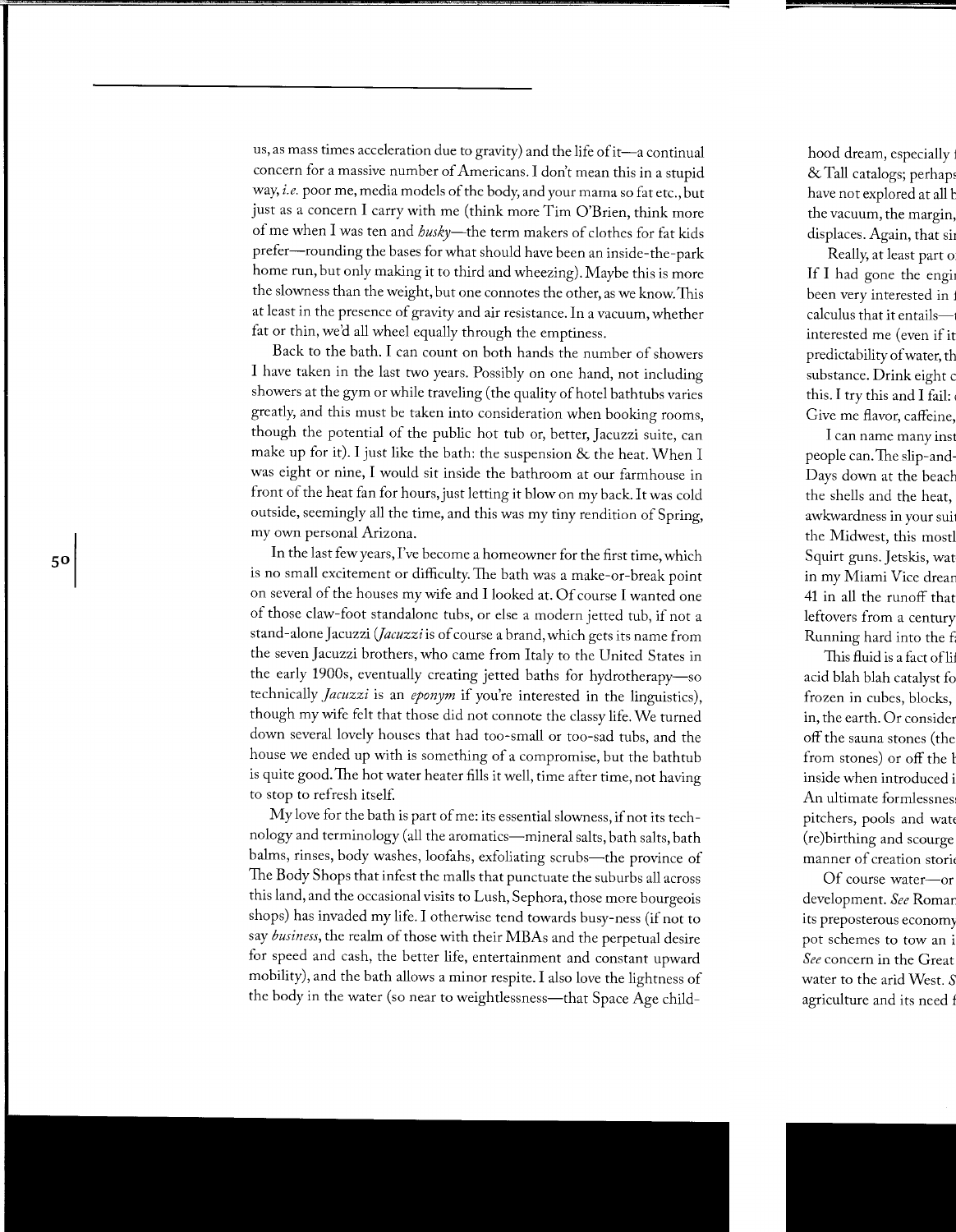us, as mass times acceleration due to gravity) and the life of it-a continual concern for a massive number of Americans. I don't mean this in a stupid way, *i.e.* poor me, media models of the body, and your mama so fat etc., but just as a concern I carry with me (think more Tim O'Brien, think more of me when I was ten and *husky-the* term makers of clothes for fat kids prefer--rounding the bases for what should have been an inside-the-park home run, but only making it to third and wheezing). Maybe this is more the slowness than the weight, but one connotes the other, as we know. This at least in the presence of gravity and air resistance. In a vacuum, whether fat or thin, we'd all wheel equally through the emptiness.

Back to the bath. I can count on both hands the number of showers I have taken in the last two years. Possibly on one hand, not including showers at the gym or while traveling (the quality of hotel bathtubs varies greatly, and this must be taken into consideration when booking rooms, though the potential of the public hot tub or, better, Jacuzzi suite, can make up for it). I just like the bath: the suspension  $\&$  the heat. When I was eight or nine, I would sit inside the bathroom at our farmhouse in front of the heat fan for hours, just letting it blow on my back. It was cold outside, seemingly all the time, and this was my tiny rendition of Spring, my own personal Arizona.

In the last few years, I've become a homeowner for the first time, which is no small excitement or difficulty. The bath was a make-or-break point on several of the houses my wife and I looked at. Of course I wanted one of those claw-foot standalone tubs, or else a modern jetted tub, if not a stand-alone Jacuzzi *(Jacuzzi* is of course a brand, which gets its name from the seven Jacuzzi brothers, who came from Italy to the United States in the early 1900s, eventually creating jetted baths for hydrotherapy-so technically *jacuzzi* is an *eponym* if you're interested in the linguistics), though my wife felt that those did not connote the classy life. We turned down several lovely houses that had too-small or too-sad tubs, and the house we ended up with is something of a compromise, but the bathtub is quite good.The hot water heater fills it well, time after time, not having to stop to refresh itself.

My love for the bath is part of me: its essential slowness, if not its technology and terminology (all the aromatics-mineral salts, bath salts, bath balms, rinses, body washes, loofahs, exfoliating scrubs-the province of The Body Shops that infest the malls that punctuate the suburbs all across this land, and the occasional visits to Lush, Sephora, those more bourgeois shops) has invaded my life. I otherwise tend towards busy-ness (if not to say *business,* the realm of those with their MBAs and the perpetual desire for speed and cash, the better life, entertainment and constant upward mobility), and the bath allows a minor respite. I also love the lightness of the body in the water (so near to weightlessness-that Space Age child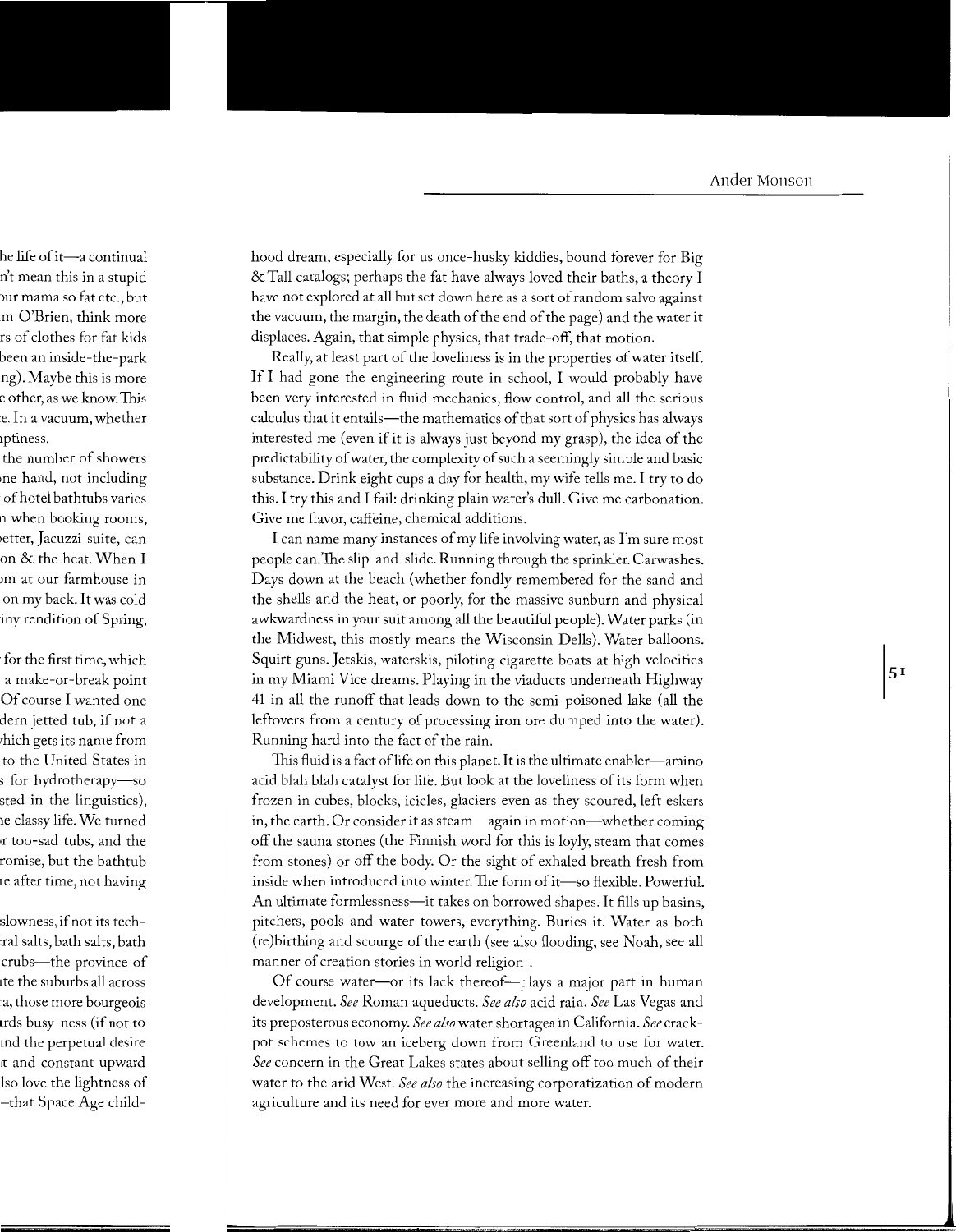hood dream, especially for us once-husky kiddies, bound forever for Big & Tall catalogs; perhaps the fat have always loved their baths, a theory I have not explored at all but set down here as a sort of random salvo against the vacuum, the margin, the death of the end of the page) and the water it displaces. Again, that simple physics, that trade-off, that motion.

Really, at least part of the loveliness is in the properties of water itsel£ If I had gone the engineering route in school, I would probably have been very interested in fluid mechanics, flow control, and all the serious calculus that it entails-the mathematics of that sort of physics has always interested me (even if it is always just beyond my grasp), the idea of the predictability of water, the complexity of such a seemingly simple and basic substance. Drink eight cups a day for health, my wife tells me. I try to do this. I try this and I fail: drinking plain water's dull. Give me carbonation. Give me flavor, caffeine, chemical additions.

I can name many instances of my life involving water, as I'm sure most people can. The slip-and-slide. Running through the sprinkler. Carwashes. Days down at the beach (whether fondly remembered for the sand and the shells and the heat, or poorly, for the massive sunburn and physical awkwardness in your suit among all the beautiful people). Water parks (in the Midwest, this mostly means the Wisconsin Dells). Water balloons. Squirt guns. Jetskis, waterskis, piloting cigarette boats at high velocities in my Miami Vice dreams. Playing in the viaducts underneath Highway 41 in all the runoff that leads down to the semi-poisoned lake (all the leftovers from a century of processing iron ore dumped into the water). Running hard into the fact of the rain.

This fluid is a fact of life on this planet. It is the ultimate enabler—amino acid blah blah catalyst for life. But look at the loveliness of its form when frozen in cubes, blocks, icicles, glaciers even as they scoured, left eskers in, the earth. Or consider it as steam—again in motion—whether coming off the sauna stones (the Finnish word for this is loyly, steam that comes from stones) or off the body. Or the sight of exhaled breath fresh from inside when introduced into winter. The form of it—so flexible. Powerful. An ultimate formlessness—it takes on borrowed shapes. It fills up basins, pitchers, pools and water towers, everything. Buries it. Water as both (re)birthing and scourge of the earth (see also flooding, see Noah, see all manner of creation stories in world religion .

Of course water-or its lack thereof- $_F$  lays a major part in human development. *See* Roman aqueducts. *See also* acid rain. *See* Las Vegas and its preposterous economy. *See also* water shortages in California. *See* crackpot schemes to tow an iceberg down from Greenland to use for water. *See* concern in the Great Lakes states about selling off too much of their water to the arid West. *See also* the increasing corporatization of modern agriculture and its need for ever more and more water.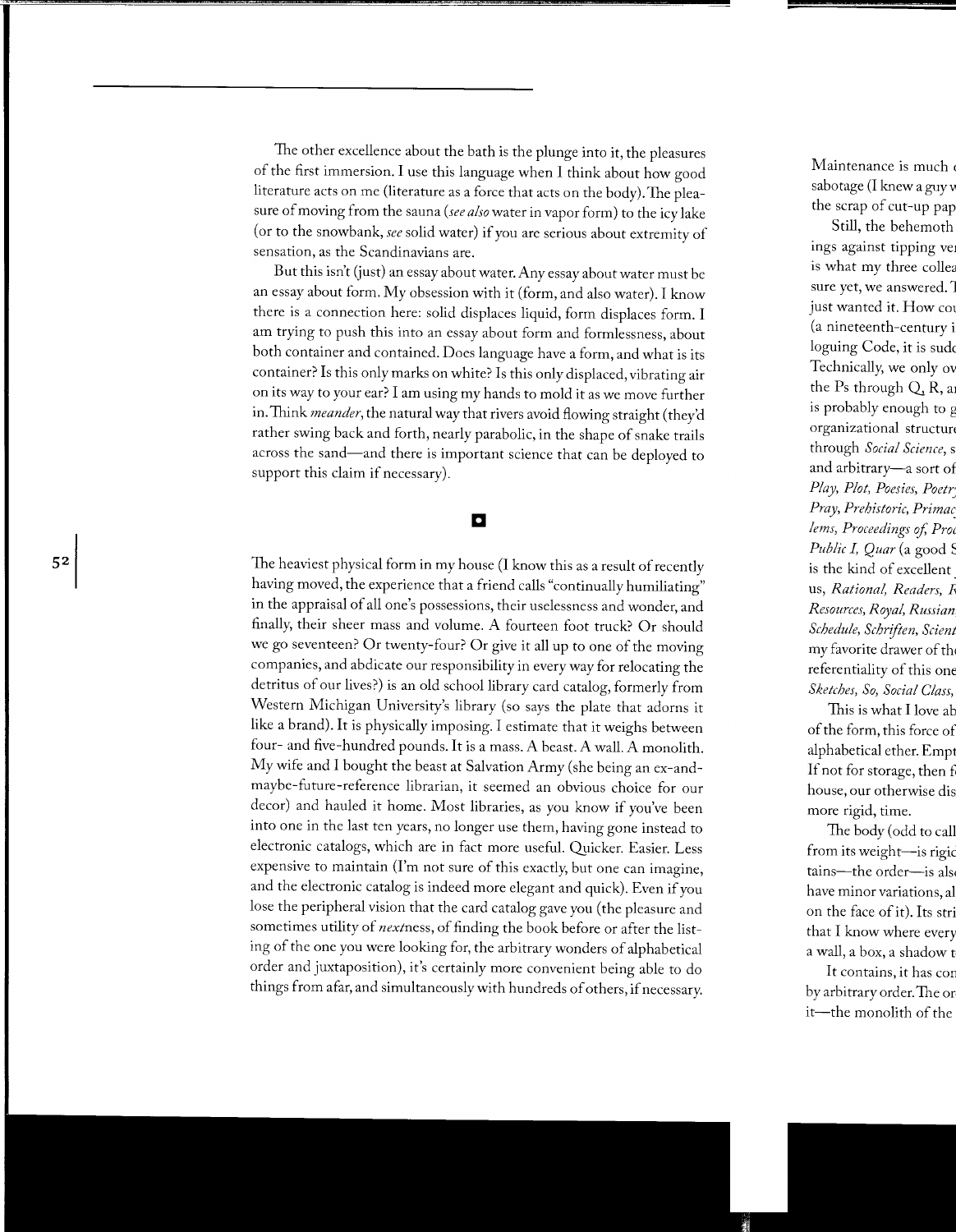The other excellence about the bath is the plunge into it, the pleasures of the first immersion. I use this language when I think about how good literature acts on me (literature as a force that acts on the body). The pleasure of moving from the sauna *(see also* water in vapor form) to the icy lake (or to the snowbank, *see* solid water) if you are serious about extremity of sensation, as the Scandinavians are.

But this isn't (just) an essay about water. Any essay about water must be an essay about form. My obsession with it (form, and also water). I know there is a connection here: solid displaces liquid, form displaces form. I am trying to push this into an essay about form and formlessness, about both container and contained. Does language have a form, and what is its container? Is this only marks on white? Is this only displaced, vibrating air on its way to your ear? I am using my hands to mold it as we move further in. Think *meander,* the natural way that rivers avoid flowing straight (they'd rather swing back and forth, nearly parabolic, in the shape of snake trails across the sand-and there is important science that can be deployed to support this claim if necessary).

### **a**

The heaviest physical form in my house **(I** know this as a result of recently having moved, the experience that a friend calls "continually humiliating" in the appraisal of all one's possessions, their uselessness and wonder, and finally, their sheer mass and volume. A fourteen foot truck? Or should we go seventeen? Or twenty-four? Or give it all up to one of the moving companies, and abdicate our responsibility in every way for relocating the detritus of our lives?) is an old school library card catalog, formerly from Western Michigan University's library (so says the plate that adorns it like a brand). It is physically imposing. I estimate that it weighs between four- and five-hundred pounds. It is a mass. A beast. A wall. A monolith. My wife and I bought the beast at Salvation Army (she being an ex-andmaybe-future-reference librarian, it seemed an obvious choice for our decor) and hauled it home. Most libraries, as you know if you've been into one in the last ten years, no longer use them, having gone instead to electronic catalogs, which are in fact more useful. Qyicker. Easier. Less expensive to maintain (I'm not sure of this exactly, but one can imagine, and the electronic catalog is indeed more elegant and quick). Even if you lose the peripheral vision that the card catalog gave you (the pleasure and sometimes utility of *nextness,* of finding the book before or after the listing of the one you were looking for, the arbitrary wonders of alphabetical order and juxtaposition), it's certainly more convenient being able to do things from afar, and simultaneously with hundreds of others, if necessary.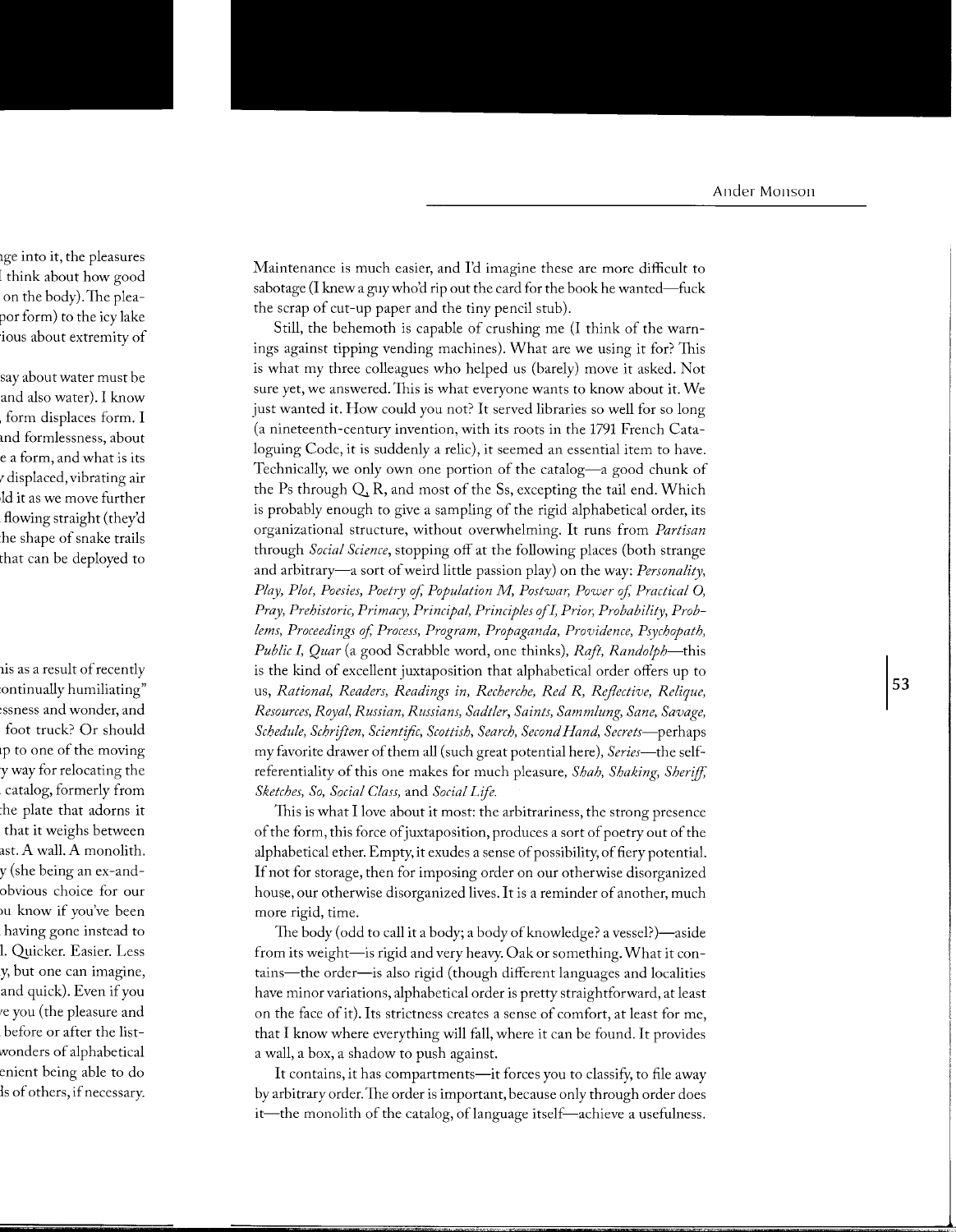Maintenance is much easier, and I'd imagine these are more difficult to sabotage (I knew a guy who'd rip out the card for the book he wanted-fuck the scrap of cut-up paper and the tiny pencil stub).

Still, the behemoth is capable of crushing me (I think of the warnings against tipping vending machines). What are we using it for? This is what my three colleagues who helped us (barely) move it asked. Not sure yet, we answered. This is what everyone wants to know about it. We just wanted it. How could you not? It served libraries so well for so long (a nineteenth-century invention, with its roots in the 1791 French Cataloguing Code, it is suddenly a relic), it seemed an essential item to have. Technically, we only own one portion of the catalog-a good chunk of the Ps through  $Q$ , R, and most of the Ss, excepting the tail end. Which is probably enough to give a sampling of the rigid alphabetical order, its organizational structure, without overwhelming. It runs from *Partisan*  through *Social Science,* stopping off at the following places (both strange and arbitrary-a sort of weird little passion play) on the way: *Personality*, *Play, Plot, Poesies, Poetry* if, *Population M, Postwar, Power* if, *Practical* 0, *Pray, Prehistoric, Primacy, Principal, Principles if!, Prior, Probability, Problems, Proceedings* if, *Process, Program, Propaganda, Providence, Psychopath, Public I, Quar* (a good Scrabble word, one thinks), *Raft, Randolph*—this is the kind of excellent juxtaposition that alphabetical order offers up to us, *Rational, Readers, Readings in, Recherche, Red R, Reflective, Relique, Resources, Royal, Russian, Russians, Sadtler, Saints, Sammlung, Sane, Savage, Schedule, Schriften, Scientific, Scottish, Search, Second Hand, Secrets-perhaps*  my favorite drawer of them all (such great potential here), *Series-the* selfreferentiality of this one makes for much pleasure, *Shah, Shaking, Sheriff, Sketches, So, Social Class,* and *Social Life.* 

This is what I love about it most: the arbitrariness, the strong presence of the form, this force of juxtaposition, produces a sort of poetry out of the alphabetical ether. Empty, it exudes a sense of possibility, of fiery potential. If not for storage, then for imposing order on our otherwise disorganized house, our otherwise disorganized lives. It is a reminder of another, much more rigid, time.

The body (odd to call it a body; a body of knowledge? a vessel?)—aside from its weight-is rigid and very heavy. Oak or something. What it contains-the order-is also rigid (though different languages and localities have minor variations, alphabetical order is pretty straightforward, at least on the face of it). Its strictness creates a sense of comfort, at least for me, that I know where everything will fall, where it can be found. It provides a wall, a box, a shadow to push against.

It contains, it has compartments—it forces you to classify, to file away by arbitrary order. The order is important, because only through order does it—the monolith of the catalog, of language itself—achieve a usefulness.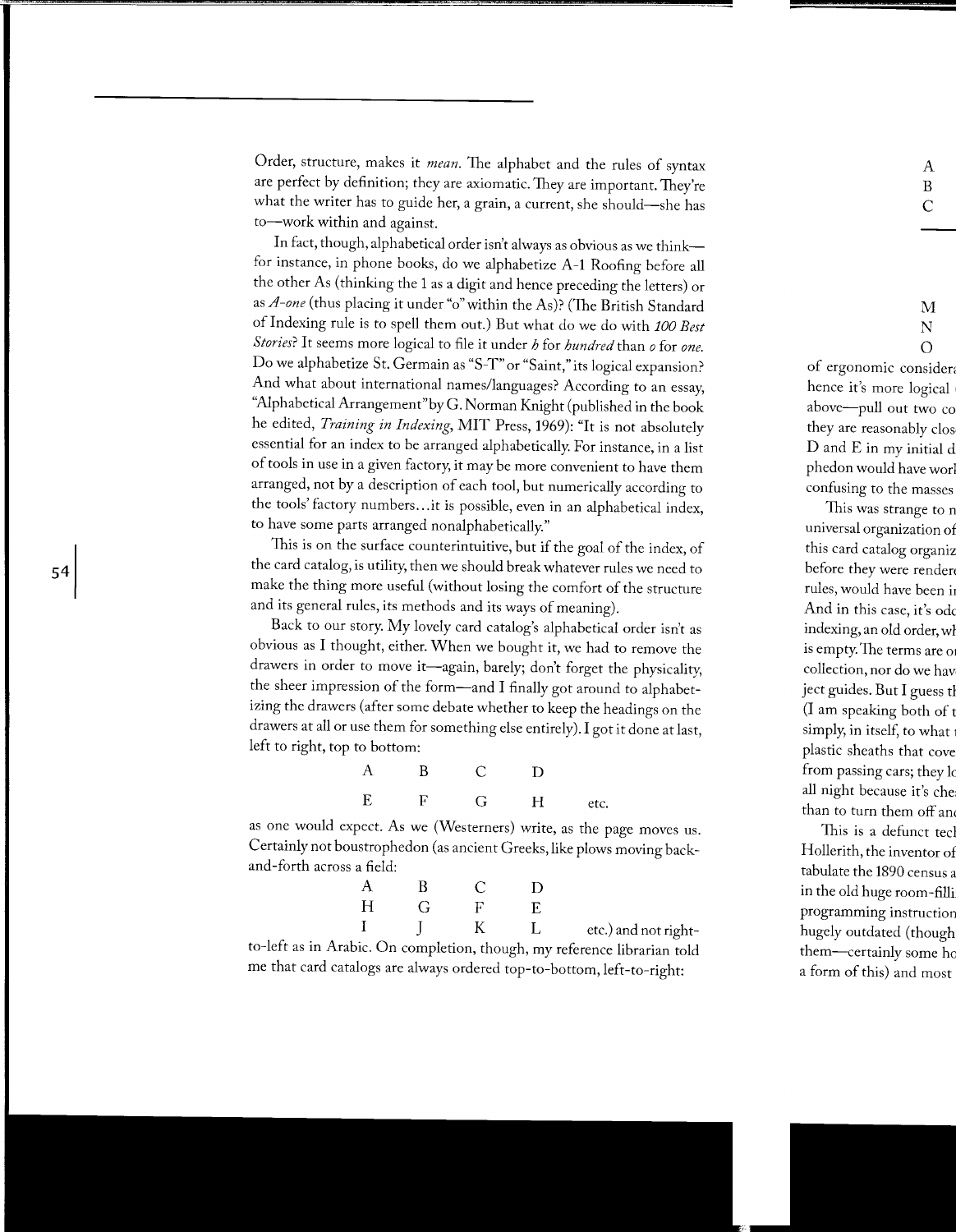Order, structure, makes it *mean.* The alphabet and the rules of syntax are perfect by definition; they are axiomatic. They are important. They're what the writer has to guide her, a grain, a current, she should-she has to-work within and against.

In fact, though, alphabetical order isn't always as obvious as we thinkfor instance, in phone books, do we alphabetize A -1 Roofing before all the other As (thinking the 1 as a digit and hence preceding the letters) or as *A-one* (thus placing it under "o"within the As)? (The British Standard of Indexing rule is to spell them out.) But what do we do with *100 Best Stories?* It seems more logical to file it under *h* for *hundred* than *o* for *one.*  Do we alphabetize St. Germain as "S-T" or "Saint," its logical expansion? And what about international names/languages? According to an essay, ''Alphabetical Arrangement" by G. Norman Knight (published in the book he edited, *Training in Indexing,* MIT Press, 1969): "It is not absolutely essential for an index to be arranged alphabetically. For instance, in a list of tools in use in a given factory, it may be more convenient to have them arranged, not by a description of each tool, but numerically according to the tools' factory numbers .. .it is possible, even in an alphabetical index, to have some parts arranged nonalphabetically."

This is on the surface counterintuitive, but if the goal of the index, of the card catalog, is utility, then we should break whatever rules we need to make the thing more useful (without losing the comfort of the structure and its general rules, its methods and its ways of meaning).

Back to our story. My lovely card catalog's alphabetical order isn't as obvious as I thought, either. When we bought it, we had to remove the drawers in order to move it-again, barely; don't forget the physicality, the sheer impression of the form-and I finally got around to alphabetizing the drawers (after some debate whether to keep the headings on the drawers at all or use them for something else entirely). I got it done at last, left to right, top to bottom:

| A |   |                  | D |      |
|---|---|------------------|---|------|
| E | F | $\mathfrak{c}$ : | н | etc. |

as one would expect. As we (Westerners) write, as the page moves us. Certainly not boustrophedon (as ancient Greeks, like plows moving backand-forth across a field:

| A | B | $\mathbf{C}$ | D  |  |
|---|---|--------------|----|--|
| H | G | $\mathbf{F}$ | E. |  |
| I |   | К            | L  |  |

etc.) and not rightto-left as in Arabic. On completion, though, my reference librarian told me that card catalogs are always ordered top-to-bottom, left-to-right: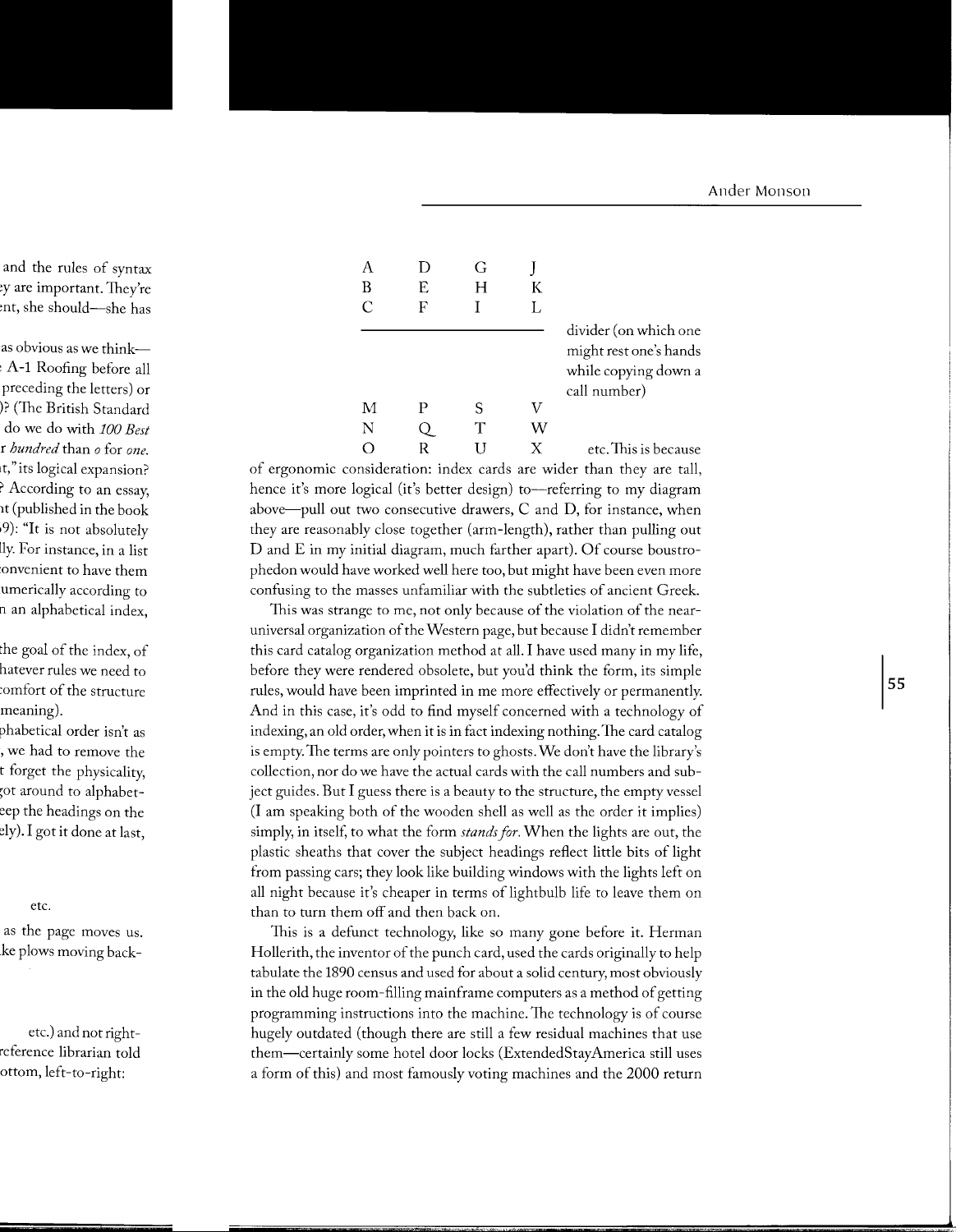|   |   | G |   |                        |
|---|---|---|---|------------------------|
| В | E | Н | Κ |                        |
| ⊂ | F |   | L |                        |
|   |   |   |   | divider (on which one  |
|   |   |   |   | might rest one's hands |
|   |   |   |   | while copying down a   |
|   |   |   |   | call number)           |
| М | Р | S | V |                        |
| N |   | Τ | W |                        |
|   |   |   |   | etc. This is because   |

of ergonomic consideration: index cards are wider than they are tall, hence it's more logical (it's better design) to—referring to my diagram above-pull out two consecutive drawers, C and D, for instance, when they are reasonably close together (arm-length), rather than pulling out **D** and E in my initial diagram, much farther apart). Of course boustrophedon would have worked well here too, but might have been even more confusing to the masses unfamiliar with the subtleties of ancient Greek.

This was strange to me, not only because of the violation of the nearuniversal organization of the Western page, but because I didn't remember this card catalog organization method at all. I have used many in my life, before they were rendered obsolete, but you'd think the form, its simple rules, would have been imprinted in me more effectively or permanently. And in this case, it's odd to find myself concerned with a technology of indexing, an old order, when it is in fact indexing nothing. The card catalog is empty. The terms are only pointers to ghosts. We don't have the library's collection, nor do we have the actual cards with the call numbers and subject guides. But I guess there is a beauty to the structure, the empty vessel **(I** am speaking both of the wooden shell as well as the order it implies) simply, in itself, to what the form *stands for.* When the lights are out, the plastic sheaths that cover the subject headings reflect little bits of light from passing cars; they look like building windows with the lights left on all night because it's cheaper in terms of light bulb life to leave them on than to turn them off and then back on.

This is a defunct technology, like so many gone before it. Herman Hollerith, the inventor of the punch card, used the cards originally to help tabulate the 1890 census and used for about a solid century, most obviously in the old huge room-filling mainframe computers as a method of getting programming instructions into the machine. The technology is of course hugely outdated (though there are still a few residual machines that use them-certainly some hotel door locks (ExtendedStayAmerica still uses a form of this) and most famously voting machines and the 2000 return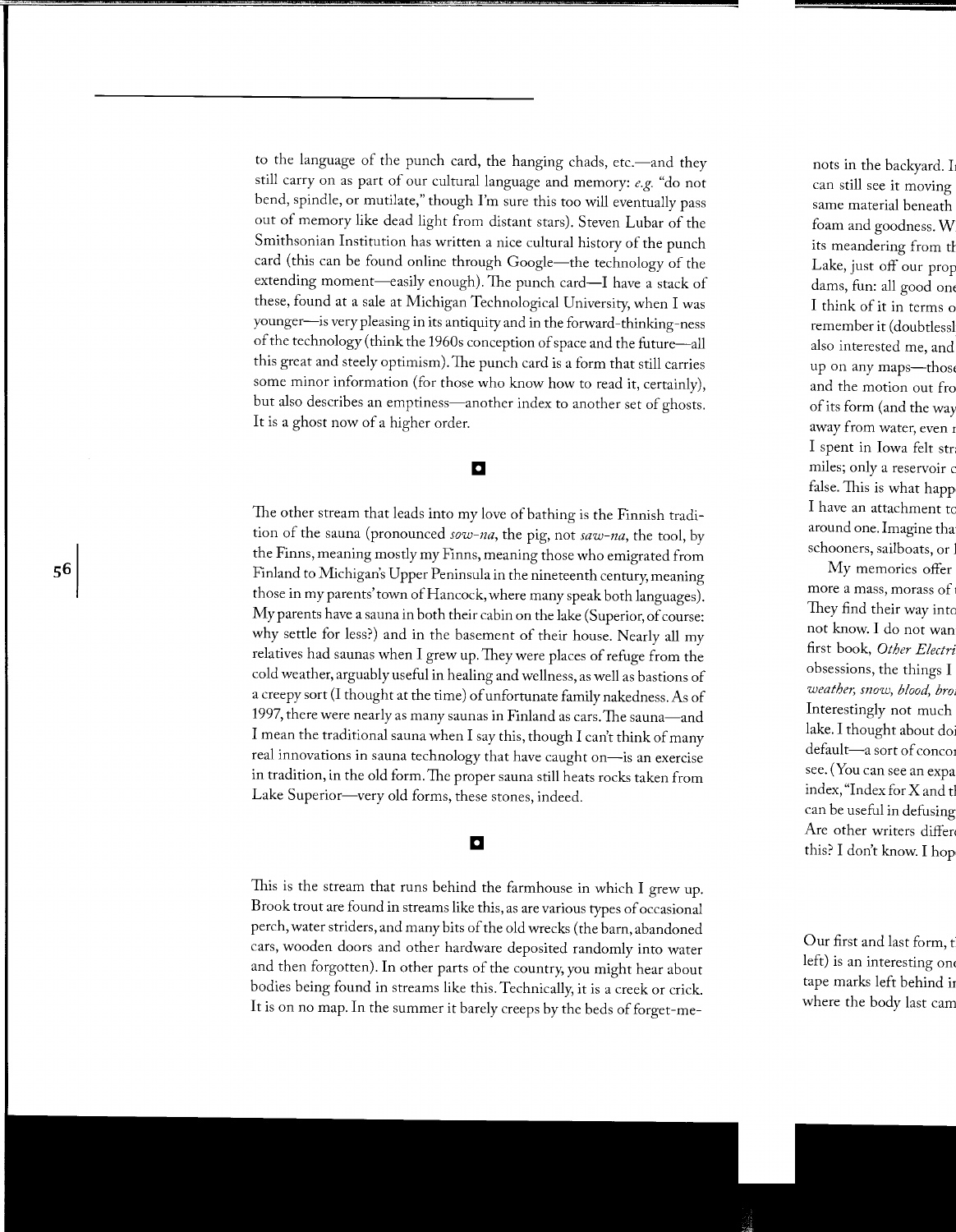to the language of the punch card, the hanging chads, etc.--and they still carry on as part of our cultural language and memory: *e.g.* "do not bend, spindle, or mutilate," though I'm sure this too will eventually pass out of memory like dead light from distant stars). Steven Lubar of the Smithsonian Institution has written a nice cultural history of the punch card (this can be found online through Google-the technology of the extending moment-easily enough). The punch card-I have a stack of these, found at a sale at Michigan Technological University, when I was younger-is very pleasing in its antiquity and in the forward-thinking-ness of the technology (think the 1960s conception of space and the future-all this great and steely optimism).The punch card is a form that still carries some minor information (for those who know how to read it, certainly), but also describes an emptiness-another index to another set of ghosts. It is a ghost now of a higher order.

The other stream that leads into my love of bathing is the Finnish tradition of the sauna (pronounced *sow-na,* the pig, not *saw-na,* the tool, by the Finns, meaning mostly my Finns, meaning those who emigrated from Finland to Michigan's Upper Peninsula in the nineteenth century, meaning those in my parents' town of Hancock, where many speak both languages). My parents have a sauna in both their cabin on the lake (Superior, of course: why settle for less?) and in the basement of their house. Nearly all my relatives had saunas when I grew up. They were places of refuge from the cold weather, arguably useful in healing and wellness, as well as bastions of a creepy sort **(I** thought at the time) of unfortunate family nakedness.As of 1997, there were nearly as many saunas in Finland as cars. The sauna-and I mean the traditional sauna when I say this, though I can't think of many real innovations in sauna technology that have caught on-is an exercise in tradition, in the old form.The proper sauna still heats rocks taken from Lake Superior—very old forms, these stones, indeed.

**a** 

#### **a**

This is the stream that runs behind the farmhouse in which I grew up. Brook trout are found in streams like this, as are various types of occasional perch, water striders, and many bits of the old wrecks (the barn, abandoned cars, wooden doors and other hardware deposited randomly into water and then forgotten). In other parts of the country, you might hear about bodies being found in streams like this. Technically, it is a creek or crick. It is on no map. In the summer it barely creeps by the beds of forget-me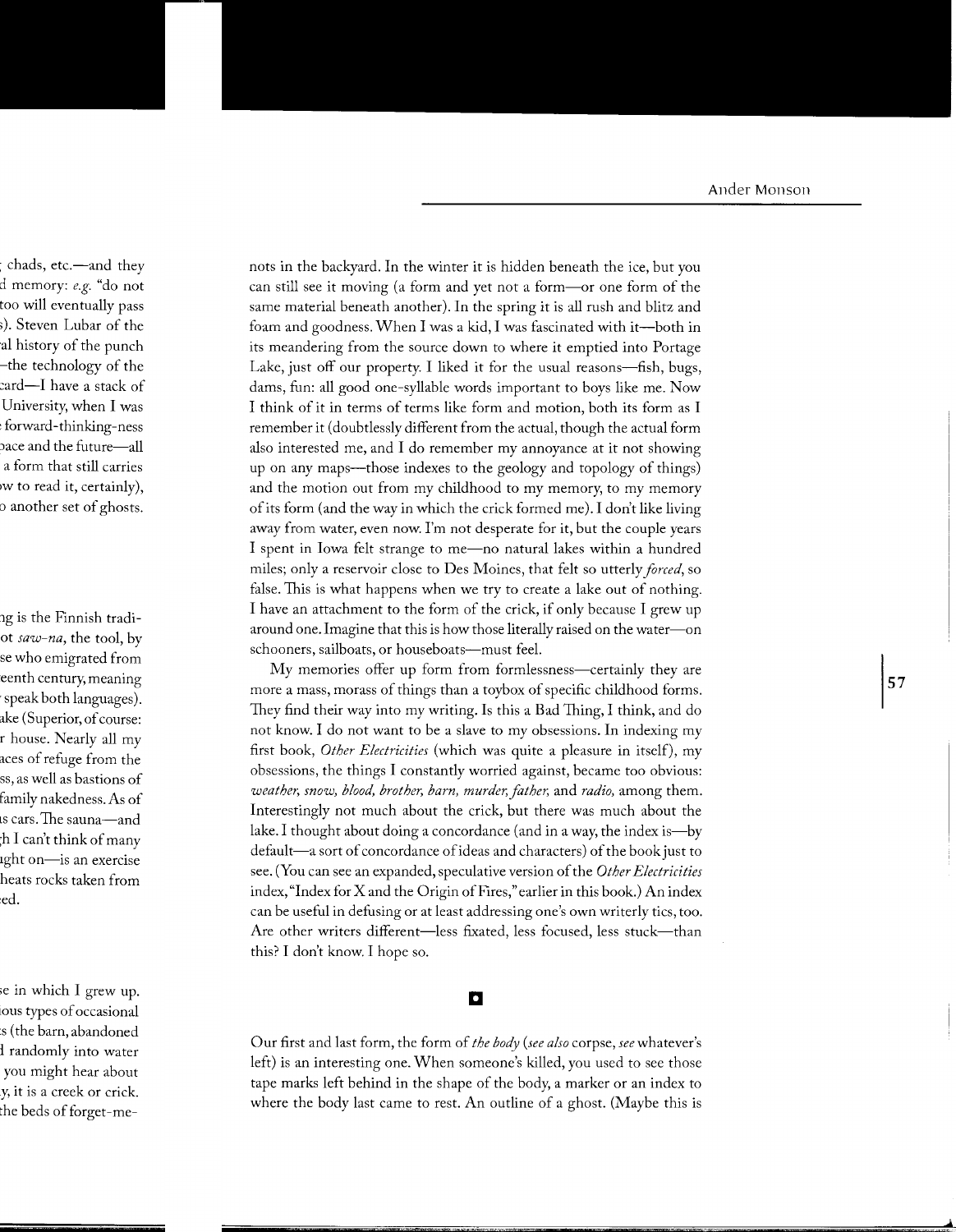nots in the backyard. In the winter it is hidden beneath the ice, but you can still see it moving (a form and yet not a form-or one form of the same material beneath another). In the spring it is all rush and blitz and foam and goodness. When I was a kid, I was fascinated with it-both in its meandering from the source down to where it emptied into Portage Lake, just off our property. I liked it for the usual reasons—fish, bugs, dams, fun: all good one-syllable words important to boys like me. Now I think of it in terms of terms like form and motion, both its form as I remember it (doubtlessly different from the actual, though the actual form also interested me, and I do remember my annoyance at it not showing up on any maps-those indexes to the geology and topology of things) and the motion out from my childhood to my memory, to my memory of its form (and the way in which the crick formed me). I don't like living away from water, even now. I'm not desperate for it, but the couple years I spent in Iowa felt strange to me—no natural lakes within a hundred miles; only a reservoir close to Des Moines, that felt so utterly *forced,* so false. This is what happens when we try to create a lake out of nothing. I have an attachment to the form of the crick, if only because I grew up around one. Imagine that this is how those literally raised on the water-on schooners, sailboats, or houseboats--must feel.

My memories offer up form from formlessness—certainly they are more a mass, morass of things than a toybox of specific childhood forms. They find their way into my writing. Is this a Bad Thing, I think, and do not know. I do not want to be a slave to my obsessions. In indexing my first book, *Other Electricities* (which was quite a pleasure in itself), my obsessions, the things I constantly worried against, became too obvious: *weather, snow, blood, brother, barn, murder,father,* and *radio,* among them. Interestingly not much about the crick, but there was much about the lake. I thought about doing a concordance (and in a way, the index is—by default-a sort of concordance of ideas and characters) of the book just to see. (You can see an expanded, speculative version of the *Other Electricities*  index, "Index for X and the Origin of Fires," earlier in this book.) An index can be useful in defusing or at least addressing one's own writerly tics, too. Are other writers different-less fixated, less focused, less stuck-than this? I don't know. I hope so.

Our first and last form, the form of *the body (see also* corpse, *see* whatever's left) is an interesting one. When someone's killed, you used to see those tape marks left behind in the shape of the body, a marker or an index to where the body last came to rest. An outline of a ghost. (Maybe this is

a

57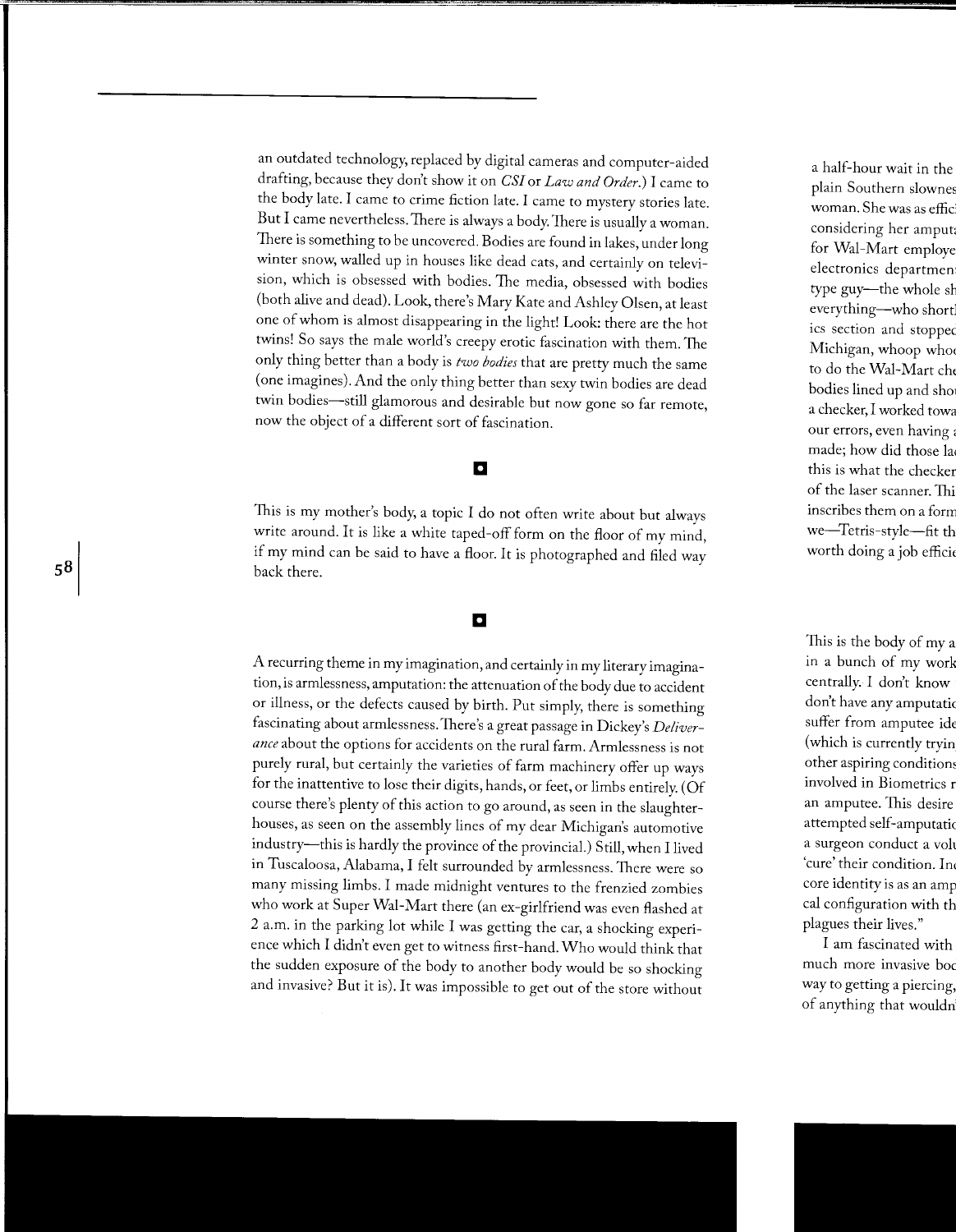an outdated technology, replaced by digital cameras and computer-aided drafting, because they don't show it on *CSI* or *Law and Order.)* I came to the body late. I came to crime fiction late. I came to mystery stories late. But I came nevertheless. There is always a body. There is usually a woman. There is something to be uncovered. Bodies are found in lakes, under long winter snow, walled up in houses like dead cats, and certainly on television, which is obsessed with bodies. The media, obsessed with bodies (both alive and dead). Look, there's Mary Kate and Ashley Olsen, at least one of whom is almost disappearing in the light! Look: there are the hot twins! So says the male world's creepy erotic fascination with them. The only thing better than a body is *two bodies* that are pretty much the same (one imagines). And the only thing better than sexy twin bodies are dead twin bodies-still glamorous and desirable but now gone so far remote, now the object of a different sort of fascination.

This is my mother's body, a topic I do not often write about but always write around. It is like a white taped-off form on the floor of my mind, if my mind can be said to have a floor. It is photographed and filed way back there.

a

a

A recurring theme in my imagination, and certainly in my literary imagination, is armlessness, amputation: the attenuation of the body due to accident or illness, or the defects caused by birth. Put simply, there is something fascinating about armlessness.There's a great passage in Dickey's *Deliverance* about the options for accidents on the rural farm. Armlessness is not purely rural, but certainly the varieties of farm machinery offer up ways for the inattentive to lose their digits, hands, or feet, or limbs entirely. (Of course there's plenty of this action to go around, as seen in the slaughterhouses, as seen on the assembly lines of my dear Michigan's automotive industry-this is hardly the province of the provincial.) Still, when I lived in Tuscaloosa, Alabama, I felt surrounded by armlessness.There were so many missing limbs. I made midnight ventures to the frenzied zombies who work at Super Wal-Mart there (an ex-girlfriend was even flashed at 2 a.m. in the parking lot while I was getting the car, a shocking experience which I didn't even get to witness first-hand. Who would think that the sudden exposure of the body to another body would be so shocking and invasive? But it is). It was impossible to get out of the store without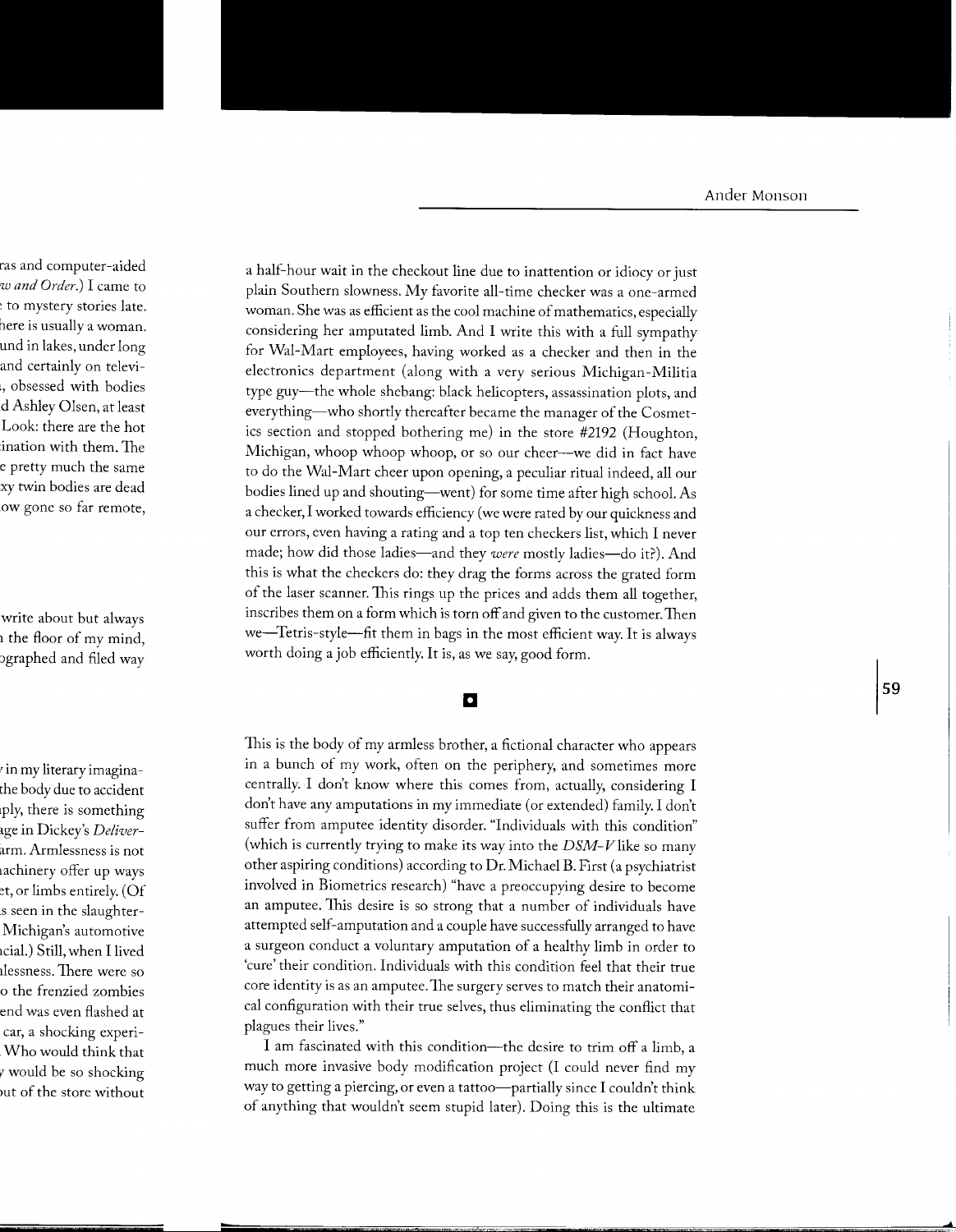a half-hour wait in the checkout line due to inattention or idiocy or just plain Southern slowness. My favorite all-time checker was a one-armed woman. She was as efficient as the cool machine of mathematics, especially considering her amputated limb. And I write this with a full sympathy for Wal-Mart employees, having worked as a checker and then in the electronics department (along with a very serious Michigan-Militia type guy-the whole shebang: black helicopters, assassination plots, and everything-who shortly thereafter became the manager of the Cosmetics section and stopped bothering me) in the store #2192 (Houghton, Michigan, whoop whoop whoop, or so our cheer-we did in fact have to do the Wal-Mart cheer upon opening, a peculiar ritual indeed, all our bodies lined up and shouting-went) for some time after high school. As a checker, I worked towards efficiency (we were rated by our quickness and our errors, even having a rating and a top ten checkers list, which I never made; how did those ladies—and they *were* mostly ladies—do it?). And this is what the checkers do: they drag the forms across the grated form of the laser scanner. This rings up the prices and adds them all together, inscribes them on a form which is torn off and given to the customer. Then we-Tetris-style-fit them in bags in the most efficient way. It is always worth doing a job efficiently. It is, as we say, good form.

## **a**

This is the body of my armless brother, a fictional character who appears in a bunch of my work, often on the periphery, and sometimes more centrally. I don't know where this comes from, actually, considering I don't have any amputations in my immediate (or extended) family. I don't suffer from amputee identity disorder. "Individuals with this condition'' (which is currently trying to make its way into the  $DSM-V$  like so many other aspiring conditions) according to Dr. Michael B. First (a psychiatrist involved in Biometrics research) "have a preoccupying desire to become an amputee. This desire is so strong that a number of individuals have attempted self-amputation and a couple have successfully arranged to have a surgeon conduct a voluntary amputation of a healthy limb in order to 'cure' their condition. Individuals with this condition feel that their true core identity is as an amputee. The surgery serves to match their anatomical configuration with their true selves, thus eliminating the conflict that plagues their lives."

I am fascinated with this condition—the desire to trim off a limb, a much more invasive body modification project (I could never find my way to getting a piercing, or even a tattoo-partially since I couldn't think of anything that wouldn't seem stupid later). Doing this is the ultimate

**59**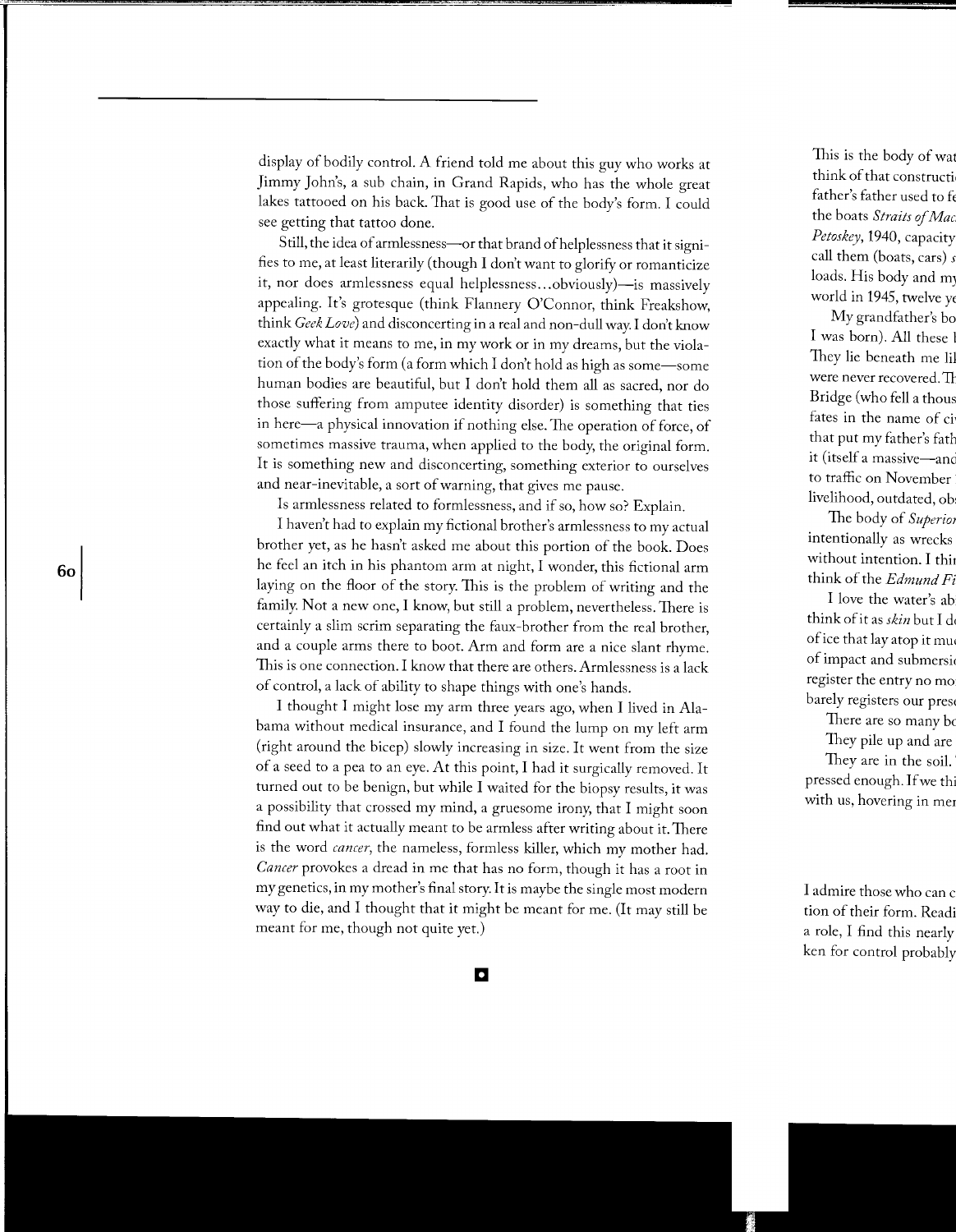display of bodily control. A friend told me about this guy who works at Jimmy John's, a sub chain, in Grand Rapids, who has the whole great lakes tattooed on his back. That is good use of the body's form. I could see getting that tattoo done.

Still, the idea of armlessness-or that brand of helplessness that it signifies to me, at least literarily (though I don't want to glorify or romanticize it, nor does armlessness equal helplessness...obviously)--is massively appealing. It's grotesque (think Flannery O'Connor, think Freakshow, think *Geek Love)* and disconcerting in a real and non-dull way. I don't know exactly what it means to me, in my work or in my dreams, but the violation of the body's form (a form which I don't hold as high as some-some human bodies are beautiful, but I don't hold them all as sacred, nor do those suffering from amputee identity disorder) is something that ties in here-a physical innovation if nothing else. The operation of force, of sometimes massive trauma, when applied to the body, the original form. It is something new and disconcerting, something exterior to ourselves and near-inevitable, a sort of warning, that gives me pause.

Is armlessness related to formlessness, and if so, how so? Explain.

I haven't had to explain my fictional brother's armlessness to my actual brother yet, as he hasn't asked me about this portion of the book. Does he feel an itch in his phantom arm at night, I wonder, this fictional arm laying on the floor of the story. This is the problem of writing and the family. Not a new one, I know, but still a problem, nevertheless. There is certainly a slim scrim separating the faux-brother from the real brother, and a couple arms there to boot. Arm and form are a nice slant rhyme. This is one connection. I know that there are others. Armlessness is a lack of control, a lack of ability to shape things with one's hands.

I thought I might lose my arm three years ago, when I lived in Alabama without medical insurance, and I found the lump on my left arm (right around the bicep) slowly increasing in size. It went from the size of a seed to a pea to an eye. At this point, I had it surgically removed. It turned out to be benign, but while I waited for the biopsy results, it was a possibility that crossed my mind, a gruesome irony, that I might soon find out what it actually meant to be armless after writing about it. There is the word *cancer,* the nameless, formless killer, which my mother had. *Cancer* provokes a dread in me that has no form, though it has a root in my genetics, in my mother's final story. It is maybe the single most modern way to die, and I thought that it might be meant for me. (It may still be meant for me, though not quite yet.)

**ll**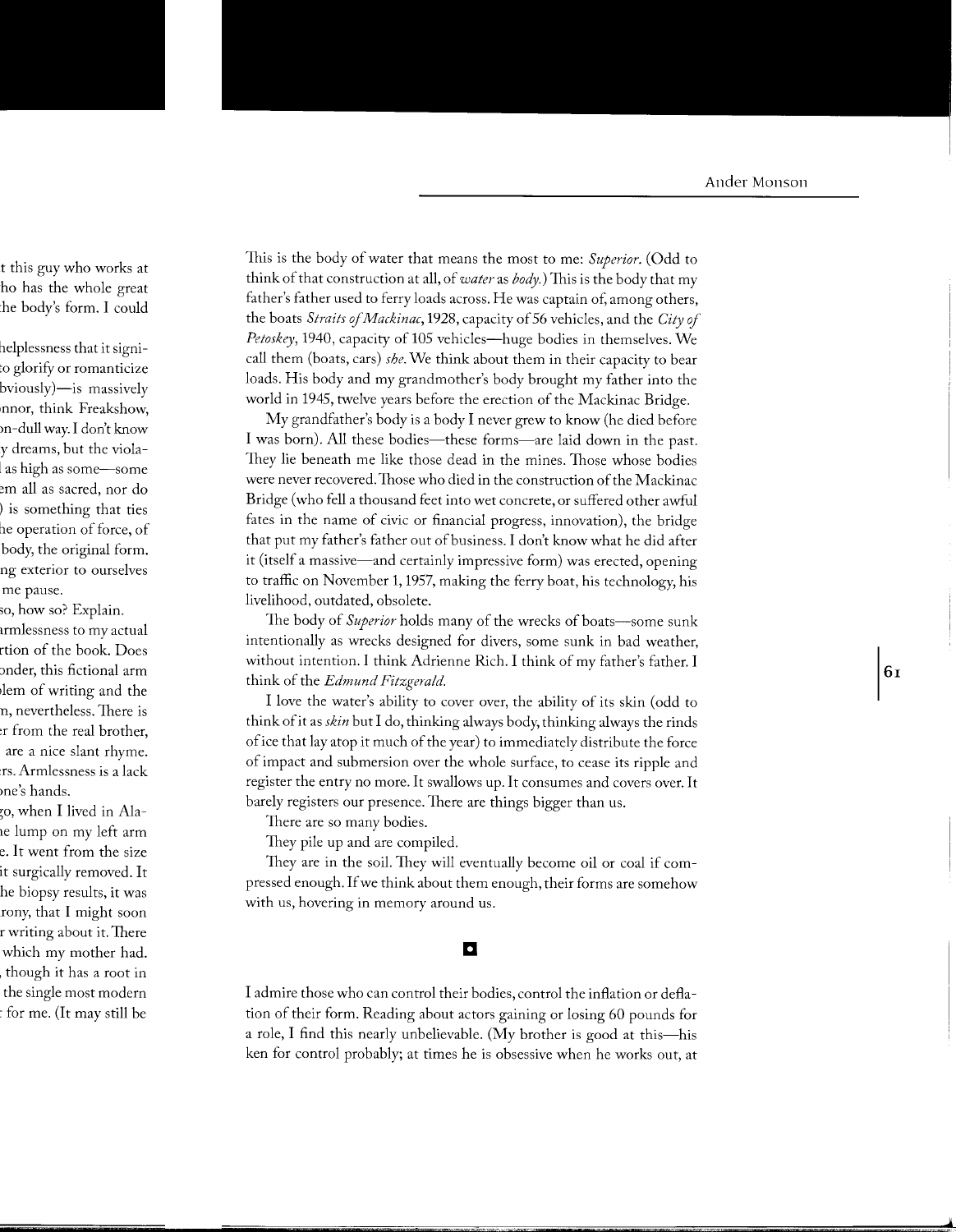This is the body of water that means the most to me: *Superior.* (Odd to think of that construction at all, of *water* as *body.)* This is the body that my father's father used to ferry loads across. He was captain of, among others, the boats *Straits* if *Mackinac,* 1928, capacity of 56 vehicles, and the *City* if *Petoskey*, 1940, capacity of 105 vehicles—huge bodies in themselves. We call them (boats, cars) *she.* We think about them in their capacity to bear loads. His body and my grandmother's body brought my father into the world in 1945, twelve years before the erection of the Mackinac Bridge.

My grandfather's body is a body I never grew to know (he died before I was born). All these bodies—these forms—are laid down in the past. They lie beneath me like those dead in the mines. Those whose bodies were never recovered. Those who died in the construction of the Mackinac Bridge (who fell a thousand feet into wet concrete, or suffered other awful fates in the name of civic or financial progress, innovation), the bridge that put my father's father out of business. I don't know what he did after it (itself a massive—and certainly impressive form) was erected, opening to traffic on November 1, 1957, making the ferry boat, his technology, his livelihood, outdated, obsolete.

The body of *Superior* holds many of the wrecks of boats-some sunk intentionally as wrecks designed for divers, some sunk in bad weather, without intention. I think Adrienne Rich. I think of my father's father. I think of the *Edmund Fitzgerald.* 

I love the water's ability to cover over, the ability of its skin (odd to think of it as *skin* but I do, thinking always body, thinking always the rinds of ice that lay atop it much of the year) to immediately distribute the force of impact and submersion over the whole surface, to cease its ripple and register the entry no more. It swallows up. It consumes and covers over. It barely registers our presence. There are things bigger than us.

There are so many bodies.

They pile up and are compiled.

They are in the soil. They will eventually become oil or coal if compressed enough. If we think about them enough, their forms are somehow with us, hovering in memory around us.

## a

I admire those who can control their bodies, control the inflation or deflation of their form. Reading about actors gaining or losing 60 pounds for a role, I find this nearly unbelievable. (My brother is good at this—his ken for control probably; at times he is obsessive when he works out, at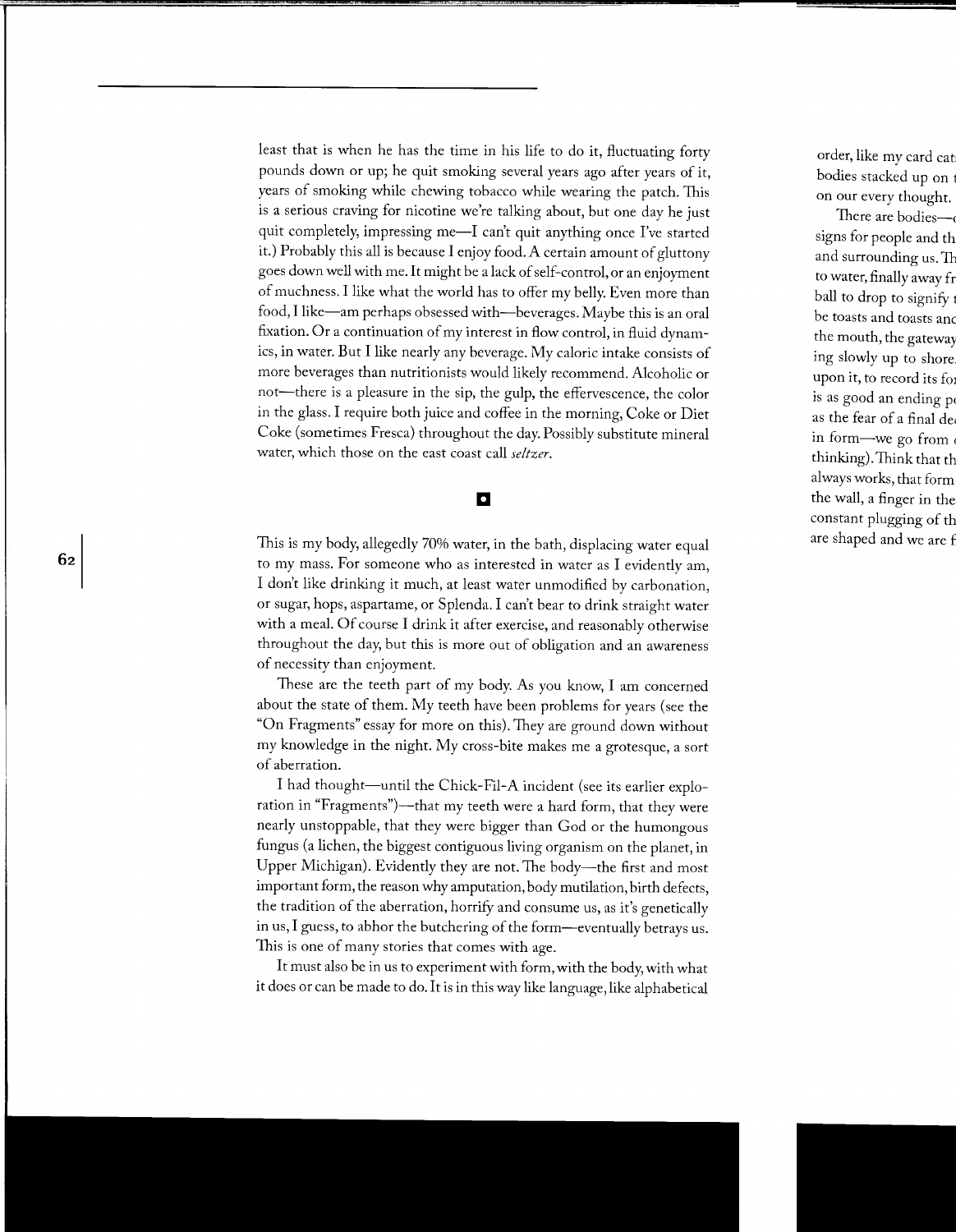least that is when he has the time in his life to do it, fluctuating forty pounds down or up; he quit smoking several years ago after years of it, years of smoking while chewing tobacco while wearing the patch. This is a serious craving for nicotine we're talking about, but one day he just quit completely, impressing me-I can't quit anything once I've started it.) Probably this all is because I enjoy food. A certain amount of gluttony goes down well with me. It might be a lack of self-control, or an enjoyment of muchness. I like what the world has to offer my belly. Even more than food, I like-am perhaps obsessed with-beverages. Maybe this is an oral fixation. Or a continuation of my interest in flow control, in fluid dynamics, in water. But I like nearly any beverage. My caloric intake consists of more beverages than nutritionists would likely recommend. Alcoholic or not—there is a pleasure in the sip, the gulp, the effervescence, the color in the glass. I require both juice and coffee in the morning, Coke or Diet Coke (sometimes Fresca) throughout the day. Possibly substitute mineral water, which those on the east coast call *seltzer.* 

This is my body, allegedly 70% water, in the bath, displacing water equal to my mass. For someone who as interested in water as I evidently am, I don't like drinking it much, at least water unmodified by carbonation, or sugar, hops, aspartame, or Splenda. I can't bear to drink straight water with a meal. Of course I drink it after exercise, and reasonably otherwise throughout the day, but this is more out of obligation and an awareness of necessity than enjoyment.

**a** 

These are the teeth part of my body. As you know, I am concerned about the state of them. My teeth have been problems for years (see the "On Fragments" essay for more on this).They are ground down without my knowledge in the night. My cross-bite makes me a grotesque, a sort of aberration.

I had thought-until the Chick-Fil-A incident (see its earlier exploration in "Fragments")—that my teeth were a hard form, that they were nearly unstoppable, that they were bigger than God or the humongous fungus (a lichen, the biggest contiguous living organism on the planet, in Upper Michigan). Evidently they are not. The body—the first and most important form, the reason why amputation, body mutilation, birth defects, the tradition of the aberration, horrify and consume us, as it's genetically in us, I guess, to abhor the butchering of the form-eventually betrays us. This is one of many stories that comes with age.

It must also be in us to experiment with form, with the body, with what it does or can be made to do. It is in this way like language, like alphabetical